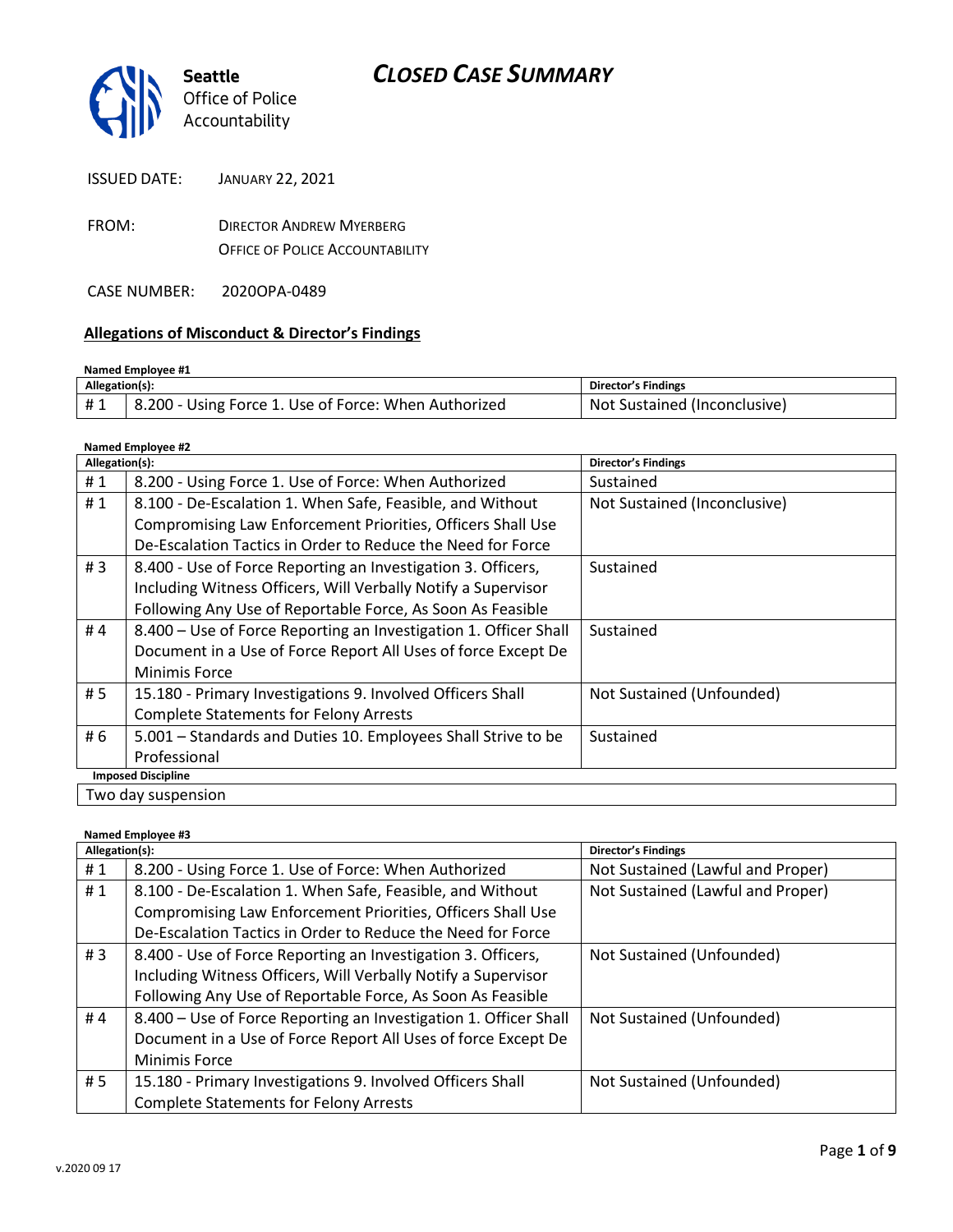

| <b>ISSUED DATE:</b> | <b>JANUARY 22, 2021</b> |
|---------------------|-------------------------|
|---------------------|-------------------------|

FROM: DIRECTOR ANDREW MYERBERG OFFICE OF POLICE ACCOUNTABILITY

CASE NUMBER: 2020OPA-0489

### **Allegations of Misconduct & Director's Findings**

| Named Employee #1 |                                                      |                              |  |
|-------------------|------------------------------------------------------|------------------------------|--|
| Allegation(s):    |                                                      | Director's Findings          |  |
| #1                | 8.200 - Using Force 1. Use of Force: When Authorized | Not Sustained (Inconclusive) |  |

**Named Employee #2**

| Allegation(s):            |                                                                  | Director's Findings          |
|---------------------------|------------------------------------------------------------------|------------------------------|
| #1                        | 8.200 - Using Force 1. Use of Force: When Authorized             | Sustained                    |
| #1                        | 8.100 - De-Escalation 1. When Safe, Feasible, and Without        | Not Sustained (Inconclusive) |
|                           | Compromising Law Enforcement Priorities, Officers Shall Use      |                              |
|                           | De-Escalation Tactics in Order to Reduce the Need for Force      |                              |
| #3                        | 8.400 - Use of Force Reporting an Investigation 3. Officers,     | Sustained                    |
|                           | Including Witness Officers, Will Verbally Notify a Supervisor    |                              |
|                           | Following Any Use of Reportable Force, As Soon As Feasible       |                              |
| #4                        | 8.400 - Use of Force Reporting an Investigation 1. Officer Shall | Sustained                    |
|                           | Document in a Use of Force Report All Uses of force Except De    |                              |
|                           | <b>Minimis Force</b>                                             |                              |
| # 5                       | 15.180 - Primary Investigations 9. Involved Officers Shall       | Not Sustained (Unfounded)    |
|                           | <b>Complete Statements for Felony Arrests</b>                    |                              |
| # 6                       | 5.001 - Standards and Duties 10. Employees Shall Strive to be    | Sustained                    |
|                           | Professional                                                     |                              |
| <b>Imposed Discipline</b> |                                                                  |                              |
| Two day suspension        |                                                                  |                              |

#### **Named Employee #3**

| Allegation(s): |                                                                  | <b>Director's Findings</b>        |
|----------------|------------------------------------------------------------------|-----------------------------------|
| #1             | 8.200 - Using Force 1. Use of Force: When Authorized             | Not Sustained (Lawful and Proper) |
| #1             | 8.100 - De-Escalation 1. When Safe, Feasible, and Without        | Not Sustained (Lawful and Proper) |
|                | Compromising Law Enforcement Priorities, Officers Shall Use      |                                   |
|                | De-Escalation Tactics in Order to Reduce the Need for Force      |                                   |
| # $3$          | 8.400 - Use of Force Reporting an Investigation 3. Officers,     | Not Sustained (Unfounded)         |
|                | Including Witness Officers, Will Verbally Notify a Supervisor    |                                   |
|                | Following Any Use of Reportable Force, As Soon As Feasible       |                                   |
| #4             | 8.400 - Use of Force Reporting an Investigation 1. Officer Shall | Not Sustained (Unfounded)         |
|                | Document in a Use of Force Report All Uses of force Except De    |                                   |
|                | <b>Minimis Force</b>                                             |                                   |
| # 5            | 15.180 - Primary Investigations 9. Involved Officers Shall       | Not Sustained (Unfounded)         |
|                | <b>Complete Statements for Felony Arrests</b>                    |                                   |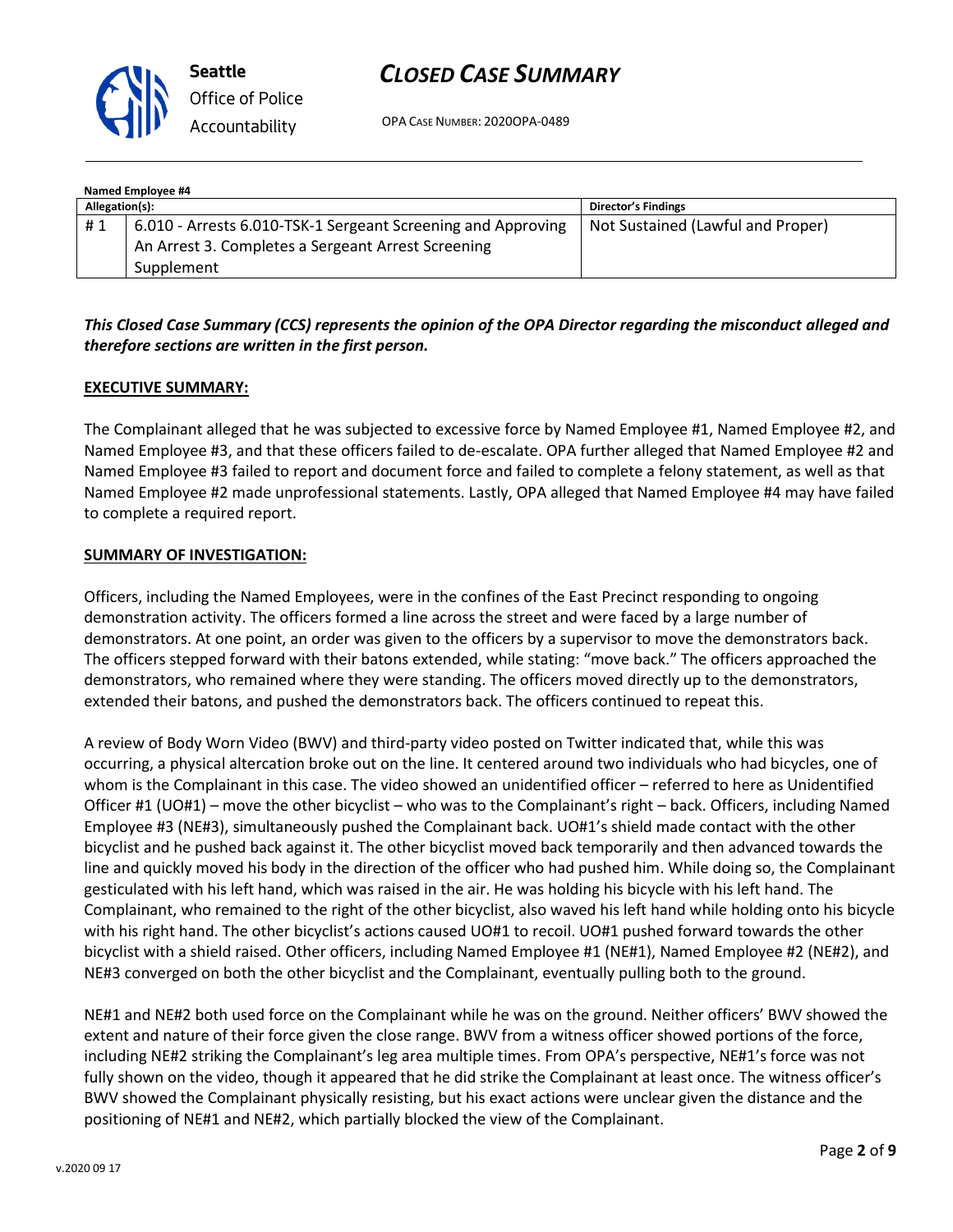

# *CLOSED CASE SUMMARY*

OPA CASE NUMBER: 2020OPA-0489

| Named Employee #4 |                                                              |                                   |  |  |
|-------------------|--------------------------------------------------------------|-----------------------------------|--|--|
| Allegation(s):    |                                                              | Director's Findings               |  |  |
| #1                | 6.010 - Arrests 6.010-TSK-1 Sergeant Screening and Approving | Not Sustained (Lawful and Proper) |  |  |
|                   | An Arrest 3. Completes a Sergeant Arrest Screening           |                                   |  |  |
|                   | Supplement                                                   |                                   |  |  |

## *This Closed Case Summary (CCS) represents the opinion of the OPA Director regarding the misconduct alleged and therefore sections are written in the first person.*

### **EXECUTIVE SUMMARY:**

The Complainant alleged that he was subjected to excessive force by Named Employee #1, Named Employee #2, and Named Employee #3, and that these officers failed to de-escalate. OPA further alleged that Named Employee #2 and Named Employee #3 failed to report and document force and failed to complete a felony statement, as well as that Named Employee #2 made unprofessional statements. Lastly, OPA alleged that Named Employee #4 may have failed to complete a required report.

#### **SUMMARY OF INVESTIGATION:**

Officers, including the Named Employees, were in the confines of the East Precinct responding to ongoing demonstration activity. The officers formed a line across the street and were faced by a large number of demonstrators. At one point, an order was given to the officers by a supervisor to move the demonstrators back. The officers stepped forward with their batons extended, while stating: "move back." The officers approached the demonstrators, who remained where they were standing. The officers moved directly up to the demonstrators, extended their batons, and pushed the demonstrators back. The officers continued to repeat this.

A review of Body Worn Video (BWV) and third-party video posted on Twitter indicated that, while this was occurring, a physical altercation broke out on the line. It centered around two individuals who had bicycles, one of whom is the Complainant in this case. The video showed an unidentified officer – referred to here as Unidentified Officer #1 (UO#1) – move the other bicyclist – who was to the Complainant's right – back. Officers, including Named Employee #3 (NE#3), simultaneously pushed the Complainant back. UO#1's shield made contact with the other bicyclist and he pushed back against it. The other bicyclist moved back temporarily and then advanced towards the line and quickly moved his body in the direction of the officer who had pushed him. While doing so, the Complainant gesticulated with his left hand, which was raised in the air. He was holding his bicycle with his left hand. The Complainant, who remained to the right of the other bicyclist, also waved his left hand while holding onto his bicycle with his right hand. The other bicyclist's actions caused UO#1 to recoil. UO#1 pushed forward towards the other bicyclist with a shield raised. Other officers, including Named Employee #1 (NE#1), Named Employee #2 (NE#2), and NE#3 converged on both the other bicyclist and the Complainant, eventually pulling both to the ground.

NE#1 and NE#2 both used force on the Complainant while he was on the ground. Neither officers' BWV showed the extent and nature of their force given the close range. BWV from a witness officer showed portions of the force, including NE#2 striking the Complainant's leg area multiple times. From OPA's perspective, NE#1's force was not fully shown on the video, though it appeared that he did strike the Complainant at least once. The witness officer's BWV showed the Complainant physically resisting, but his exact actions were unclear given the distance and the positioning of NE#1 and NE#2, which partially blocked the view of the Complainant.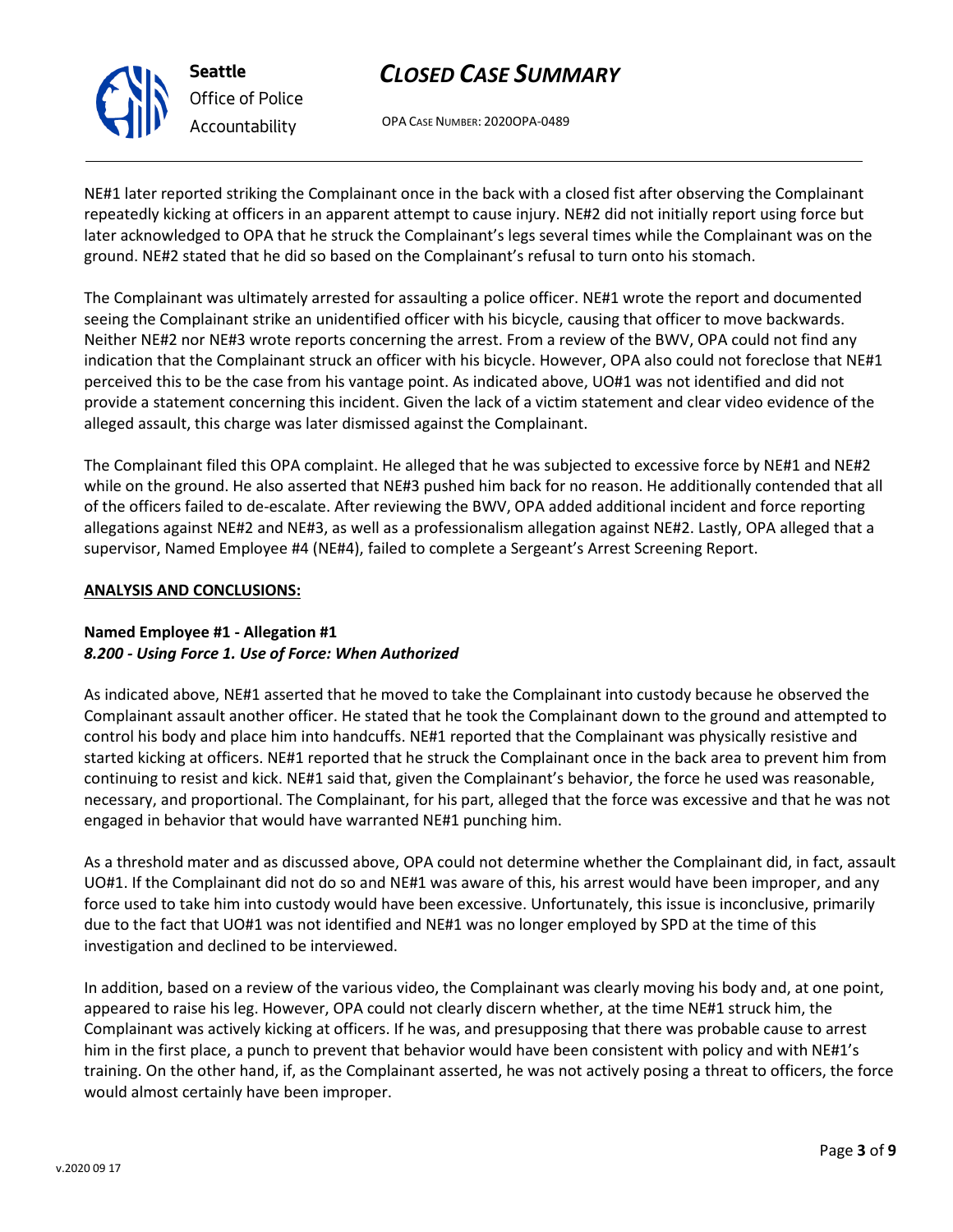

# *CLOSED CASE SUMMARY*

OPA CASE NUMBER: 2020OPA-0489

NE#1 later reported striking the Complainant once in the back with a closed fist after observing the Complainant repeatedly kicking at officers in an apparent attempt to cause injury. NE#2 did not initially report using force but later acknowledged to OPA that he struck the Complainant's legs several times while the Complainant was on the ground. NE#2 stated that he did so based on the Complainant's refusal to turn onto his stomach.

The Complainant was ultimately arrested for assaulting a police officer. NE#1 wrote the report and documented seeing the Complainant strike an unidentified officer with his bicycle, causing that officer to move backwards. Neither NE#2 nor NE#3 wrote reports concerning the arrest. From a review of the BWV, OPA could not find any indication that the Complainant struck an officer with his bicycle. However, OPA also could not foreclose that NE#1 perceived this to be the case from his vantage point. As indicated above, UO#1 was not identified and did not provide a statement concerning this incident. Given the lack of a victim statement and clear video evidence of the alleged assault, this charge was later dismissed against the Complainant.

The Complainant filed this OPA complaint. He alleged that he was subjected to excessive force by NE#1 and NE#2 while on the ground. He also asserted that NE#3 pushed him back for no reason. He additionally contended that all of the officers failed to de-escalate. After reviewing the BWV, OPA added additional incident and force reporting allegations against NE#2 and NE#3, as well as a professionalism allegation against NE#2. Lastly, OPA alleged that a supervisor, Named Employee #4 (NE#4), failed to complete a Sergeant's Arrest Screening Report.

## **ANALYSIS AND CONCLUSIONS:**

## **Named Employee #1 - Allegation #1** *8.200 - Using Force 1. Use of Force: When Authorized*

As indicated above, NE#1 asserted that he moved to take the Complainant into custody because he observed the Complainant assault another officer. He stated that he took the Complainant down to the ground and attempted to control his body and place him into handcuffs. NE#1 reported that the Complainant was physically resistive and started kicking at officers. NE#1 reported that he struck the Complainant once in the back area to prevent him from continuing to resist and kick. NE#1 said that, given the Complainant's behavior, the force he used was reasonable, necessary, and proportional. The Complainant, for his part, alleged that the force was excessive and that he was not engaged in behavior that would have warranted NE#1 punching him.

As a threshold mater and as discussed above, OPA could not determine whether the Complainant did, in fact, assault UO#1. If the Complainant did not do so and NE#1 was aware of this, his arrest would have been improper, and any force used to take him into custody would have been excessive. Unfortunately, this issue is inconclusive, primarily due to the fact that UO#1 was not identified and NE#1 was no longer employed by SPD at the time of this investigation and declined to be interviewed.

In addition, based on a review of the various video, the Complainant was clearly moving his body and, at one point, appeared to raise his leg. However, OPA could not clearly discern whether, at the time NE#1 struck him, the Complainant was actively kicking at officers. If he was, and presupposing that there was probable cause to arrest him in the first place, a punch to prevent that behavior would have been consistent with policy and with NE#1's training. On the other hand, if, as the Complainant asserted, he was not actively posing a threat to officers, the force would almost certainly have been improper.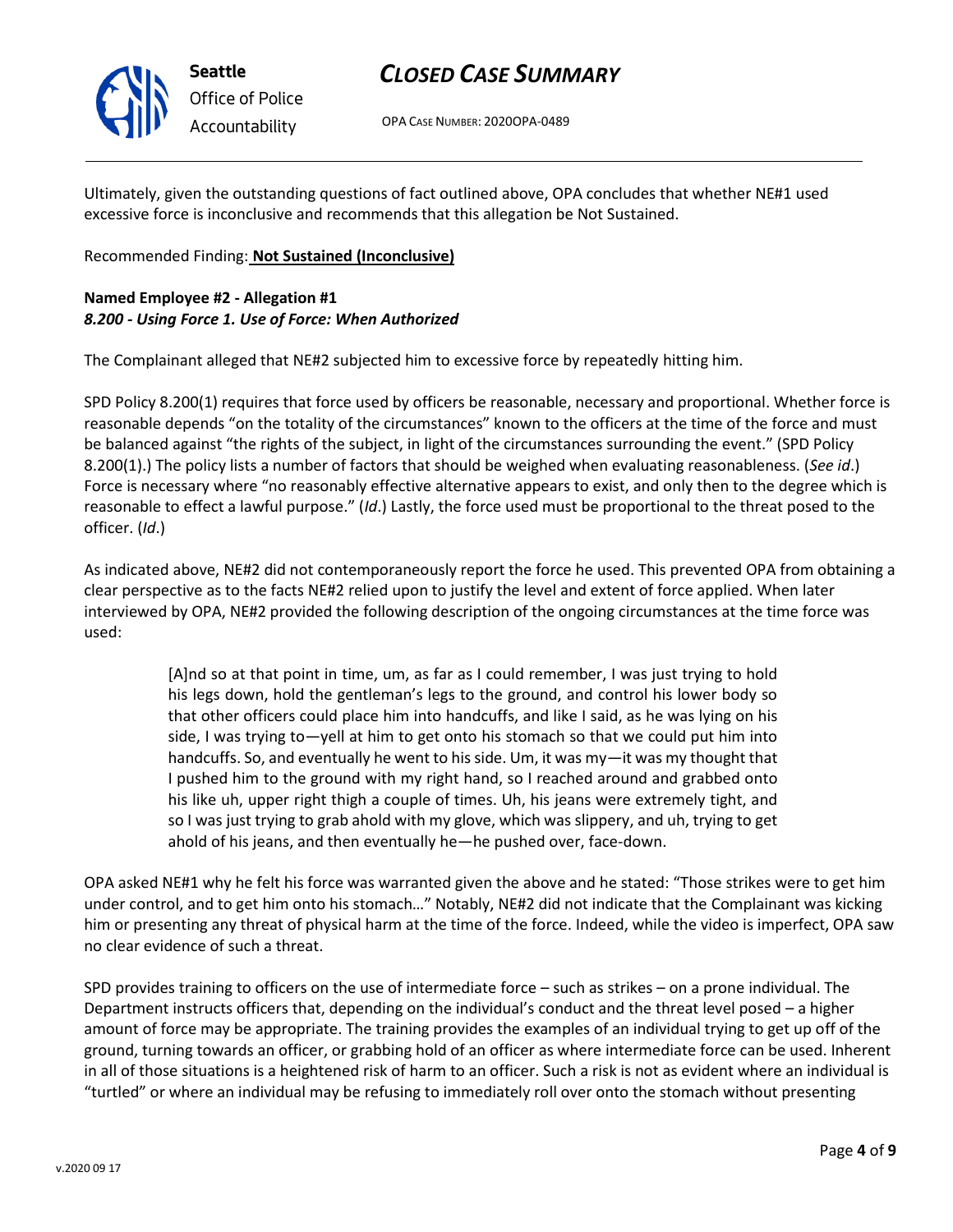

# *CLOSED CASE SUMMARY*

OPA CASE NUMBER: 2020OPA-0489

Ultimately, given the outstanding questions of fact outlined above, OPA concludes that whether NE#1 used excessive force is inconclusive and recommends that this allegation be Not Sustained.

### Recommended Finding: **Not Sustained (Inconclusive)**

### **Named Employee #2 - Allegation #1** *8.200 - Using Force 1. Use of Force: When Authorized*

The Complainant alleged that NE#2 subjected him to excessive force by repeatedly hitting him.

SPD Policy 8.200(1) requires that force used by officers be reasonable, necessary and proportional. Whether force is reasonable depends "on the totality of the circumstances" known to the officers at the time of the force and must be balanced against "the rights of the subject, in light of the circumstances surrounding the event." (SPD Policy 8.200(1).) The policy lists a number of factors that should be weighed when evaluating reasonableness. (*See id*.) Force is necessary where "no reasonably effective alternative appears to exist, and only then to the degree which is reasonable to effect a lawful purpose." (*Id*.) Lastly, the force used must be proportional to the threat posed to the officer. (*Id*.)

As indicated above, NE#2 did not contemporaneously report the force he used. This prevented OPA from obtaining a clear perspective as to the facts NE#2 relied upon to justify the level and extent of force applied. When later interviewed by OPA, NE#2 provided the following description of the ongoing circumstances at the time force was used:

> [A]nd so at that point in time, um, as far as I could remember, I was just trying to hold his legs down, hold the gentleman's legs to the ground, and control his lower body so that other officers could place him into handcuffs, and like I said, as he was lying on his side, I was trying to—yell at him to get onto his stomach so that we could put him into handcuffs. So, and eventually he went to his side. Um, it was my—it was my thought that I pushed him to the ground with my right hand, so I reached around and grabbed onto his like uh, upper right thigh a couple of times. Uh, his jeans were extremely tight, and so I was just trying to grab ahold with my glove, which was slippery, and uh, trying to get ahold of his jeans, and then eventually he—he pushed over, face-down.

OPA asked NE#1 why he felt his force was warranted given the above and he stated: "Those strikes were to get him under control, and to get him onto his stomach…" Notably, NE#2 did not indicate that the Complainant was kicking him or presenting any threat of physical harm at the time of the force. Indeed, while the video is imperfect, OPA saw no clear evidence of such a threat.

SPD provides training to officers on the use of intermediate force – such as strikes – on a prone individual. The Department instructs officers that, depending on the individual's conduct and the threat level posed – a higher amount of force may be appropriate. The training provides the examples of an individual trying to get up off of the ground, turning towards an officer, or grabbing hold of an officer as where intermediate force can be used. Inherent in all of those situations is a heightened risk of harm to an officer. Such a risk is not as evident where an individual is "turtled" or where an individual may be refusing to immediately roll over onto the stomach without presenting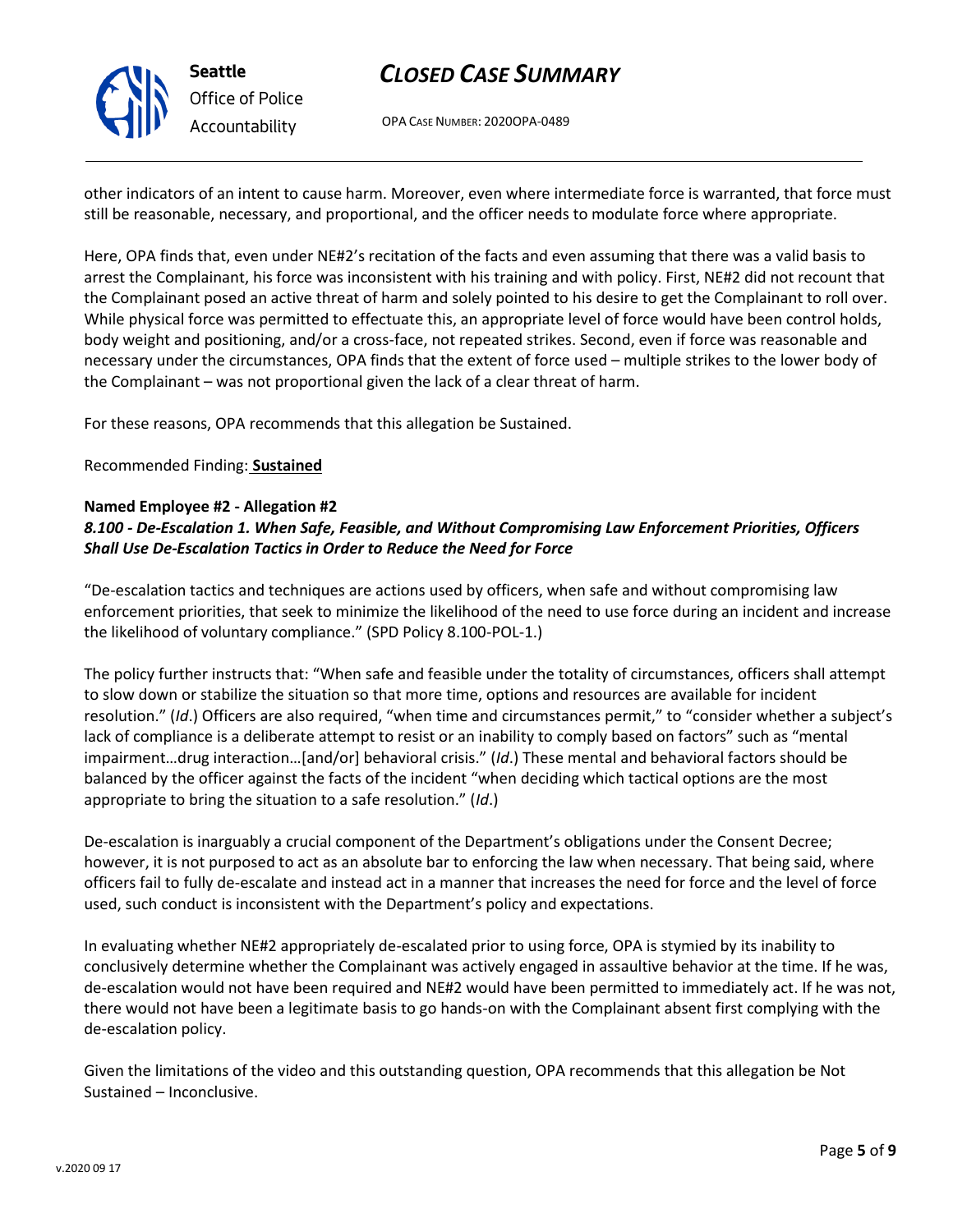

## *CLOSED CASE SUMMARY*

OPA CASE NUMBER: 2020OPA-0489

other indicators of an intent to cause harm. Moreover, even where intermediate force is warranted, that force must still be reasonable, necessary, and proportional, and the officer needs to modulate force where appropriate.

Here, OPA finds that, even under NE#2's recitation of the facts and even assuming that there was a valid basis to arrest the Complainant, his force was inconsistent with his training and with policy. First, NE#2 did not recount that the Complainant posed an active threat of harm and solely pointed to his desire to get the Complainant to roll over. While physical force was permitted to effectuate this, an appropriate level of force would have been control holds, body weight and positioning, and/or a cross-face, not repeated strikes. Second, even if force was reasonable and necessary under the circumstances, OPA finds that the extent of force used – multiple strikes to the lower body of the Complainant – was not proportional given the lack of a clear threat of harm.

For these reasons, OPA recommends that this allegation be Sustained.

#### Recommended Finding: **Sustained**

#### **Named Employee #2 - Allegation #2**

## *8.100 - De-Escalation 1. When Safe, Feasible, and Without Compromising Law Enforcement Priorities, Officers Shall Use De-Escalation Tactics in Order to Reduce the Need for Force*

"De-escalation tactics and techniques are actions used by officers, when safe and without compromising law enforcement priorities, that seek to minimize the likelihood of the need to use force during an incident and increase the likelihood of voluntary compliance." (SPD Policy 8.100-POL-1.)

The policy further instructs that: "When safe and feasible under the totality of circumstances, officers shall attempt to slow down or stabilize the situation so that more time, options and resources are available for incident resolution." (*Id*.) Officers are also required, "when time and circumstances permit," to "consider whether a subject's lack of compliance is a deliberate attempt to resist or an inability to comply based on factors" such as "mental impairment…drug interaction…[and/or] behavioral crisis." (*Id*.) These mental and behavioral factors should be balanced by the officer against the facts of the incident "when deciding which tactical options are the most appropriate to bring the situation to a safe resolution." (*Id*.)

De-escalation is inarguably a crucial component of the Department's obligations under the Consent Decree; however, it is not purposed to act as an absolute bar to enforcing the law when necessary. That being said, where officers fail to fully de-escalate and instead act in a manner that increases the need for force and the level of force used, such conduct is inconsistent with the Department's policy and expectations.

In evaluating whether NE#2 appropriately de-escalated prior to using force, OPA is stymied by its inability to conclusively determine whether the Complainant was actively engaged in assaultive behavior at the time. If he was, de-escalation would not have been required and NE#2 would have been permitted to immediately act. If he was not, there would not have been a legitimate basis to go hands-on with the Complainant absent first complying with the de-escalation policy.

Given the limitations of the video and this outstanding question, OPA recommends that this allegation be Not Sustained – Inconclusive.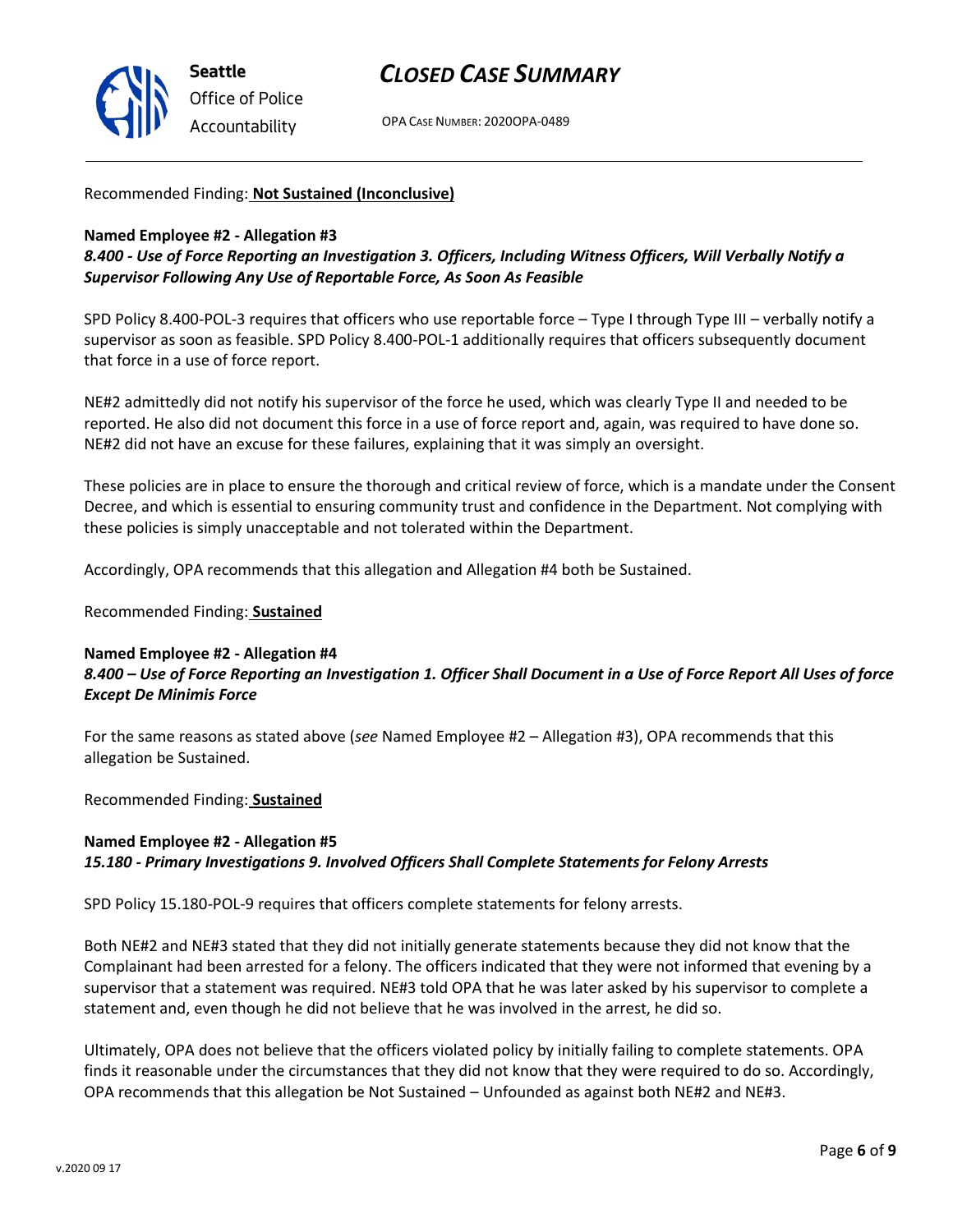

## *CLOSED CASE SUMMARY*

OPA CASE NUMBER: 2020OPA-0489

#### Recommended Finding: **Not Sustained (Inconclusive)**

#### **Named Employee #2 - Allegation #3**

*8.400 - Use of Force Reporting an Investigation 3. Officers, Including Witness Officers, Will Verbally Notify a Supervisor Following Any Use of Reportable Force, As Soon As Feasible*

SPD Policy 8.400-POL-3 requires that officers who use reportable force – Type I through Type III – verbally notify a supervisor as soon as feasible. SPD Policy 8.400-POL-1 additionally requires that officers subsequently document that force in a use of force report.

NE#2 admittedly did not notify his supervisor of the force he used, which was clearly Type II and needed to be reported. He also did not document this force in a use of force report and, again, was required to have done so. NE#2 did not have an excuse for these failures, explaining that it was simply an oversight.

These policies are in place to ensure the thorough and critical review of force, which is a mandate under the Consent Decree, and which is essential to ensuring community trust and confidence in the Department. Not complying with these policies is simply unacceptable and not tolerated within the Department.

Accordingly, OPA recommends that this allegation and Allegation #4 both be Sustained.

Recommended Finding: **Sustained**

#### **Named Employee #2 - Allegation #4** *8.400 – Use of Force Reporting an Investigation 1. Officer Shall Document in a Use of Force Report All Uses of force Except De Minimis Force*

For the same reasons as stated above (*see* Named Employee #2 – Allegation #3), OPA recommends that this allegation be Sustained.

Recommended Finding: **Sustained**

## **Named Employee #2 - Allegation #5** *15.180 - Primary Investigations 9. Involved Officers Shall Complete Statements for Felony Arrests*

SPD Policy 15.180-POL-9 requires that officers complete statements for felony arrests.

Both NE#2 and NE#3 stated that they did not initially generate statements because they did not know that the Complainant had been arrested for a felony. The officers indicated that they were not informed that evening by a supervisor that a statement was required. NE#3 told OPA that he was later asked by his supervisor to complete a statement and, even though he did not believe that he was involved in the arrest, he did so.

Ultimately, OPA does not believe that the officers violated policy by initially failing to complete statements. OPA finds it reasonable under the circumstances that they did not know that they were required to do so. Accordingly, OPA recommends that this allegation be Not Sustained – Unfounded as against both NE#2 and NE#3.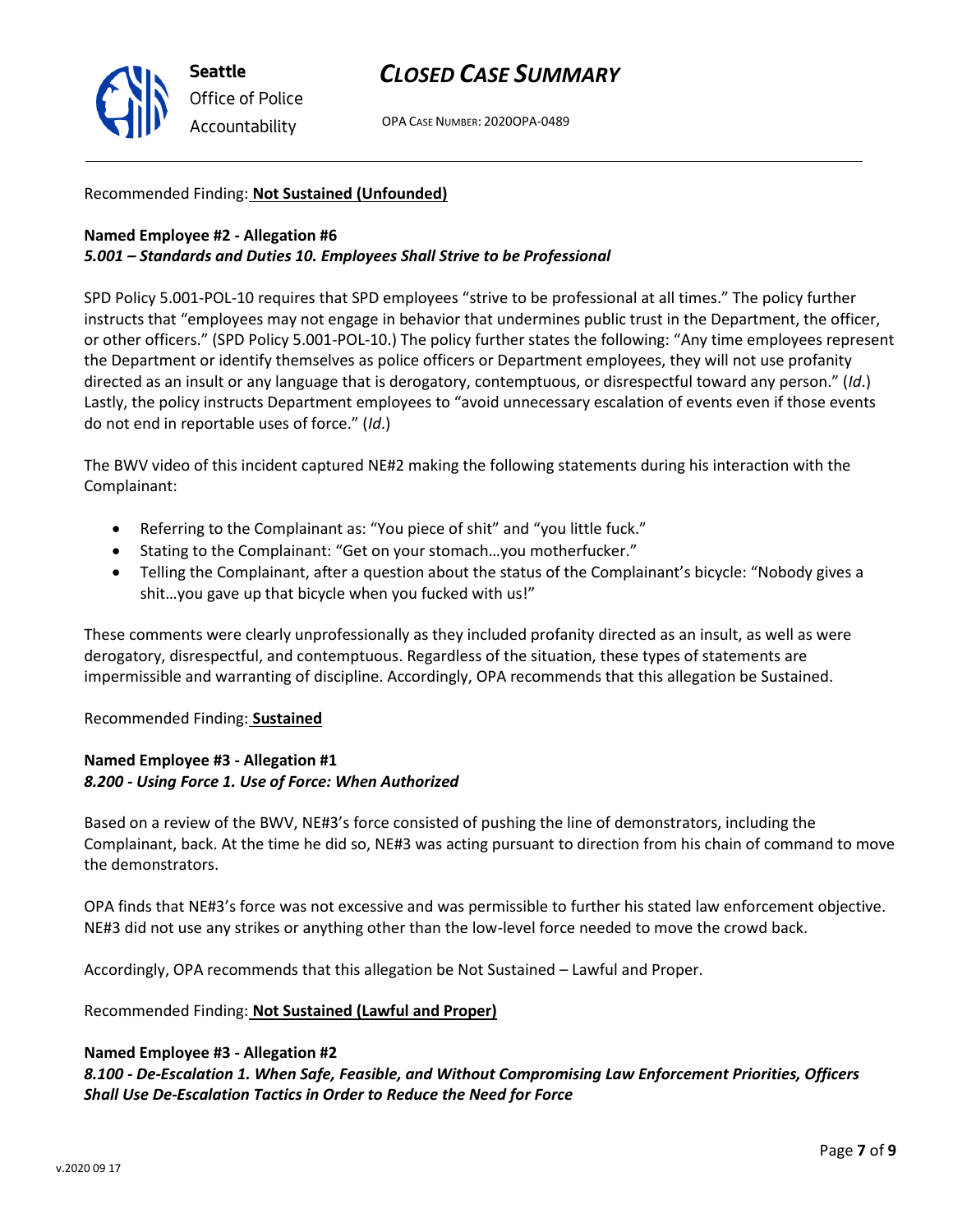

## *CLOSED CASE SUMMARY*

OPA CASE NUMBER: 2020OPA-0489

#### Recommended Finding: **Not Sustained (Unfounded)**

#### **Named Employee #2 - Allegation #6**

#### *5.001 – Standards and Duties 10. Employees Shall Strive to be Professional*

SPD Policy 5.001-POL-10 requires that SPD employees "strive to be professional at all times." The policy further instructs that "employees may not engage in behavior that undermines public trust in the Department, the officer, or other officers." (SPD Policy 5.001-POL-10.) The policy further states the following: "Any time employees represent the Department or identify themselves as police officers or Department employees, they will not use profanity directed as an insult or any language that is derogatory, contemptuous, or disrespectful toward any person." (*Id*.) Lastly, the policy instructs Department employees to "avoid unnecessary escalation of events even if those events do not end in reportable uses of force." (*Id*.)

The BWV video of this incident captured NE#2 making the following statements during his interaction with the Complainant:

- Referring to the Complainant as: "You piece of shit" and "you little fuck."
- Stating to the Complainant: "Get on your stomach…you motherfucker."
- Telling the Complainant, after a question about the status of the Complainant's bicycle: "Nobody gives a shit…you gave up that bicycle when you fucked with us!"

These comments were clearly unprofessionally as they included profanity directed as an insult, as well as were derogatory, disrespectful, and contemptuous. Regardless of the situation, these types of statements are impermissible and warranting of discipline. Accordingly, OPA recommends that this allegation be Sustained.

#### Recommended Finding: **Sustained**

#### **Named Employee #3 - Allegation #1** *8.200 - Using Force 1. Use of Force: When Authorized*

Based on a review of the BWV, NE#3's force consisted of pushing the line of demonstrators, including the Complainant, back. At the time he did so, NE#3 was acting pursuant to direction from his chain of command to move the demonstrators.

OPA finds that NE#3's force was not excessive and was permissible to further his stated law enforcement objective. NE#3 did not use any strikes or anything other than the low-level force needed to move the crowd back.

Accordingly, OPA recommends that this allegation be Not Sustained – Lawful and Proper.

Recommended Finding: **Not Sustained (Lawful and Proper)**

#### **Named Employee #3 - Allegation #2**

*8.100 - De-Escalation 1. When Safe, Feasible, and Without Compromising Law Enforcement Priorities, Officers Shall Use De-Escalation Tactics in Order to Reduce the Need for Force*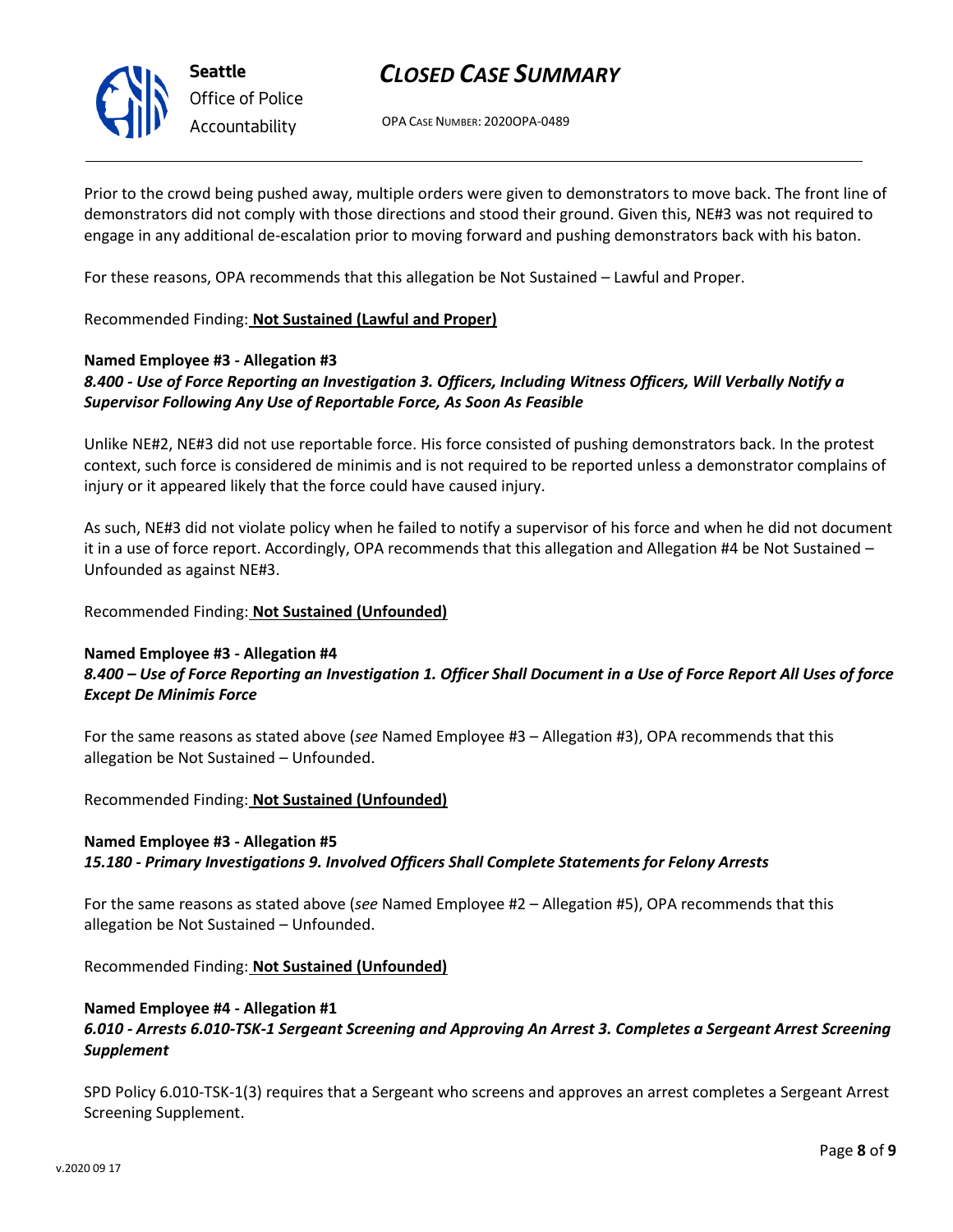

## *CLOSED CASE SUMMARY*

OPA CASE NUMBER: 2020OPA-0489

Prior to the crowd being pushed away, multiple orders were given to demonstrators to move back. The front line of demonstrators did not comply with those directions and stood their ground. Given this, NE#3 was not required to engage in any additional de-escalation prior to moving forward and pushing demonstrators back with his baton.

For these reasons, OPA recommends that this allegation be Not Sustained – Lawful and Proper.

Recommended Finding: **Not Sustained (Lawful and Proper)**

## **Named Employee #3 - Allegation #3**

## *8.400 - Use of Force Reporting an Investigation 3. Officers, Including Witness Officers, Will Verbally Notify a Supervisor Following Any Use of Reportable Force, As Soon As Feasible*

Unlike NE#2, NE#3 did not use reportable force. His force consisted of pushing demonstrators back. In the protest context, such force is considered de minimis and is not required to be reported unless a demonstrator complains of injury or it appeared likely that the force could have caused injury.

As such, NE#3 did not violate policy when he failed to notify a supervisor of his force and when he did not document it in a use of force report. Accordingly, OPA recommends that this allegation and Allegation #4 be Not Sustained – Unfounded as against NE#3.

Recommended Finding: **Not Sustained (Unfounded)**

## **Named Employee #3 - Allegation #4**

## *8.400 – Use of Force Reporting an Investigation 1. Officer Shall Document in a Use of Force Report All Uses of force Except De Minimis Force*

For the same reasons as stated above (*see* Named Employee #3 – Allegation #3), OPA recommends that this allegation be Not Sustained – Unfounded.

Recommended Finding: **Not Sustained (Unfounded)**

## **Named Employee #3 - Allegation #5**

*15.180 - Primary Investigations 9. Involved Officers Shall Complete Statements for Felony Arrests*

For the same reasons as stated above (*see* Named Employee #2 – Allegation #5), OPA recommends that this allegation be Not Sustained – Unfounded.

Recommended Finding: **Not Sustained (Unfounded)**

## **Named Employee #4 - Allegation #1**

## *6.010 - Arrests 6.010-TSK-1 Sergeant Screening and Approving An Arrest 3. Completes a Sergeant Arrest Screening Supplement*

SPD Policy 6.010-TSK-1(3) requires that a Sergeant who screens and approves an arrest completes a Sergeant Arrest Screening Supplement.